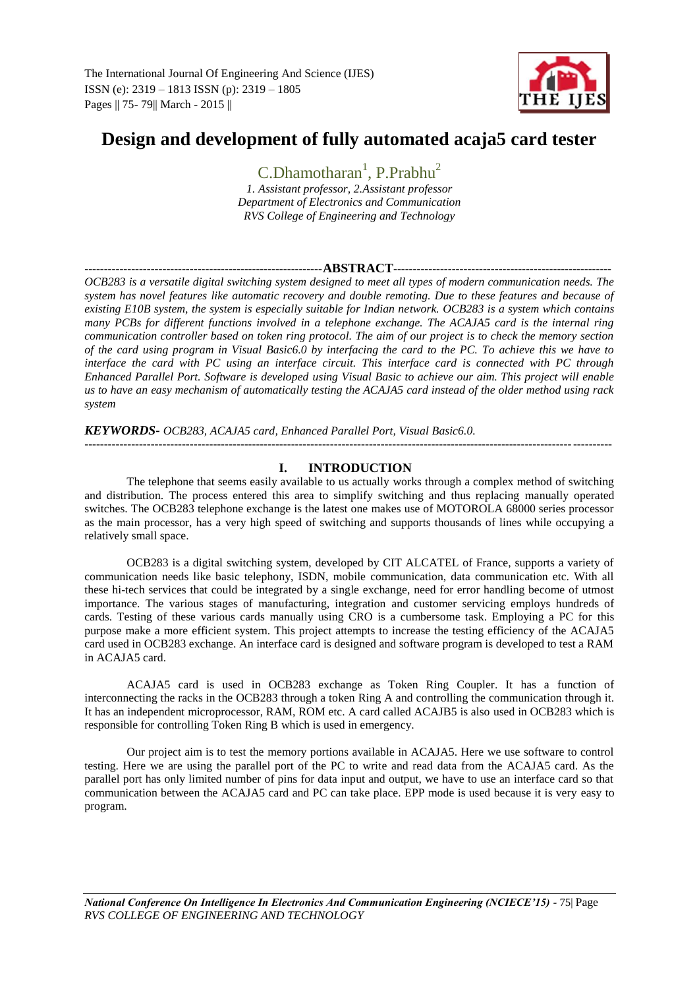

# **Design and development of fully automated acaja5 card tester**

C.Dhamotharan<sup>1</sup>, P.Prabhu<sup>2</sup>

*1. Assistant professor, 2.Assistant professor Department of Electronics and Communication RVS College of Engineering and Technology*

#### -------------------------------------------------------------**ABSTRACT**--------------------------------------------------------

*OCB283 is a versatile digital switching system designed to meet all types of modern communication needs. The system has novel features like automatic recovery and double remoting. Due to these features and because of existing E10B system, the system is especially suitable for Indian network. OCB283 is a system which contains many PCBs for different functions involved in a telephone exchange. The ACAJA5 card is the internal ring communication controller based on token ring protocol. The aim of our project is to check the memory section of the card using program in Visual Basic6.0 by interfacing the card to the PC. To achieve this we have to interface the card with PC using an interface circuit. This interface card is connected with PC through Enhanced Parallel Port. Software is developed using Visual Basic to achieve our aim. This project will enable us to have an easy mechanism of automatically testing the ACAJA5 card instead of the older method using rack system*

#### *KEYWORDS- OCB283, ACAJA5 card, Enhanced Parallel Port, Visual Basic6.0.*

---------------------------------------------------------------------------------------------------------------------------------------

# **I. INTRODUCTION**

The telephone that seems easily available to us actually works through a complex method of switching and distribution. The process entered this area to simplify switching and thus replacing manually operated switches. The OCB283 telephone exchange is the latest one makes use of MOTOROLA 68000 series processor as the main processor, has a very high speed of switching and supports thousands of lines while occupying a relatively small space.

OCB283 is a digital switching system, developed by CIT ALCATEL of France, supports a variety of communication needs like basic telephony, ISDN, mobile communication, data communication etc. With all these hi-tech services that could be integrated by a single exchange, need for error handling become of utmost importance. The various stages of manufacturing, integration and customer servicing employs hundreds of cards. Testing of these various cards manually using CRO is a cumbersome task. Employing a PC for this purpose make a more efficient system. This project attempts to increase the testing efficiency of the ACAJA5 card used in OCB283 exchange. An interface card is designed and software program is developed to test a RAM in ACAJA5 card.

ACAJA5 card is used in OCB283 exchange as Token Ring Coupler. It has a function of interconnecting the racks in the OCB283 through a token Ring A and controlling the communication through it. It has an independent microprocessor, RAM, ROM etc. A card called ACAJB5 is also used in OCB283 which is responsible for controlling Token Ring B which is used in emergency.

Our project aim is to test the memory portions available in ACAJA5. Here we use software to control testing. Here we are using the parallel port of the PC to write and read data from the ACAJA5 card. As the parallel port has only limited number of pins for data input and output, we have to use an interface card so that communication between the ACAJA5 card and PC can take place. EPP mode is used because it is very easy to program.

*National Conference On Intelligence In Electronics And Communication Engineering (NCIECE'15) -* 75| Page *RVS COLLEGE OF ENGINEERING AND TECHNOLOGY*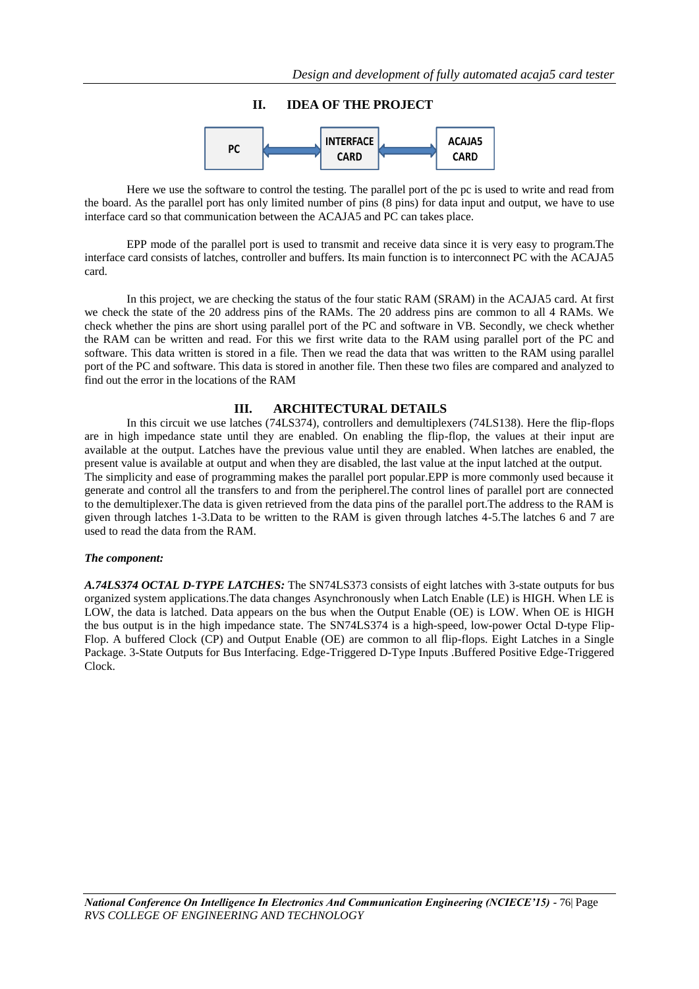

Here we use the software to control the testing. The parallel port of the pc is used to write and read from the board. As the parallel port has only limited number of pins (8 pins) for data input and output, we have to use interface card so that communication between the ACAJA5 and PC can takes place.

EPP mode of the parallel port is used to transmit and receive data since it is very easy to program.The interface card consists of latches, controller and buffers. Its main function is to interconnect PC with the ACAJA5 card.

In this project, we are checking the status of the four static RAM (SRAM) in the ACAJA5 card. At first we check the state of the 20 address pins of the RAMs. The 20 address pins are common to all 4 RAMs. We check whether the pins are short using parallel port of the PC and software in VB. Secondly, we check whether the RAM can be written and read. For this we first write data to the RAM using parallel port of the PC and software. This data written is stored in a file. Then we read the data that was written to the RAM using parallel port of the PC and software. This data is stored in another file. Then these two files are compared and analyzed to find out the error in the locations of the RAM

#### **III. ARCHITECTURAL DETAILS**

In this circuit we use latches (74LS374), controllers and demultiplexers (74LS138). Here the flip-flops are in high impedance state until they are enabled. On enabling the flip-flop, the values at their input are available at the output. Latches have the previous value until they are enabled. When latches are enabled, the present value is available at output and when they are disabled, the last value at the input latched at the output. The simplicity and ease of programming makes the parallel port popular.EPP is more commonly used because it generate and control all the transfers to and from the peripherel.The control lines of parallel port are connected to the demultiplexer.The data is given retrieved from the data pins of the parallel port.The address to the RAM is given through latches 1-3.Data to be written to the RAM is given through latches 4-5.The latches 6 and 7 are used to read the data from the RAM.

#### *The component:*

*A.74LS374 OCTAL D-TYPE LATCHES:* The SN74LS373 consists of eight latches with 3-state outputs for bus organized system applications.The data changes Asynchronously when Latch Enable (LE) is HIGH. When LE is LOW, the data is latched. Data appears on the bus when the Output Enable (OE) is LOW. When OE is HIGH the bus output is in the high impedance state. The SN74LS374 is a high-speed, low-power Octal D-type Flip-Flop. A buffered Clock (CP) and Output Enable (OE) are common to all flip-flops. Eight Latches in a Single Package. 3-State Outputs for Bus Interfacing. Edge-Triggered D-Type Inputs .Buffered Positive Edge-Triggered Clock.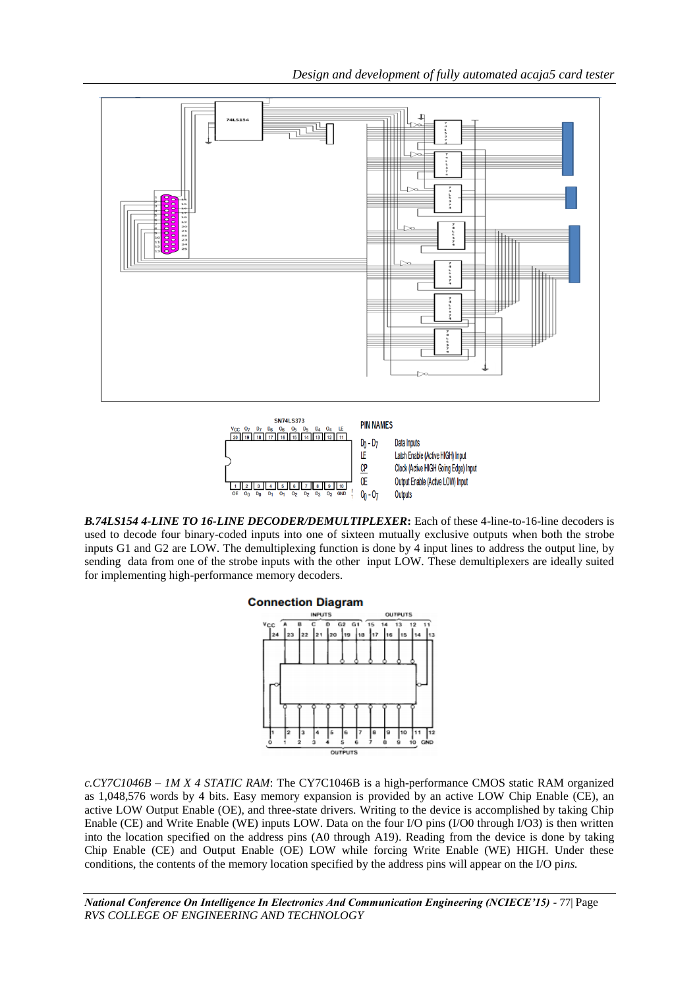*Design and development of fully automated acaja5 card tester*



*B.74LS154 4-LINE TO 16-LINE DECODER/DEMULTIPLEXER***:** Each of these 4-line-to-16-line decoders is used to decode four binary-coded inputs into one of sixteen mutually exclusive outputs when both the strobe inputs G1 and G2 are LOW. The demultiplexing function is done by 4 input lines to address the output line, by sending data from one of the strobe inputs with the other input LOW. These demultiplexers are ideally suited for implementing high-performance memory decoders.

 $0<sub>0</sub> - 0<sub>7</sub>$ 

Outputs

1 2 3 4 5 6 7 8 9 10



*c.CY7C1046B – 1M X 4 STATIC RAM*: The CY7C1046B is a high-performance CMOS static RAM organized as 1,048,576 words by 4 bits. Easy memory expansion is provided by an active LOW Chip Enable (CE), an active LOW Output Enable (OE), and three-state drivers. Writing to the device is accomplished by taking Chip Enable (CE) and Write Enable (WE) inputs LOW. Data on the four I/O pins (I/O0 through I/O3) is then written into the location specified on the address pins (A0 through A19). Reading from the device is done by taking Chip Enable (CE) and Output Enable (OE) LOW while forcing Write Enable (WE) HIGH. Under these conditions, the contents of the memory location specified by the address pins will appear on the I/O pi*ns.* 

*National Conference On Intelligence In Electronics And Communication Engineering (NCIECE'15) -* 77| Page *RVS COLLEGE OF ENGINEERING AND TECHNOLOGY*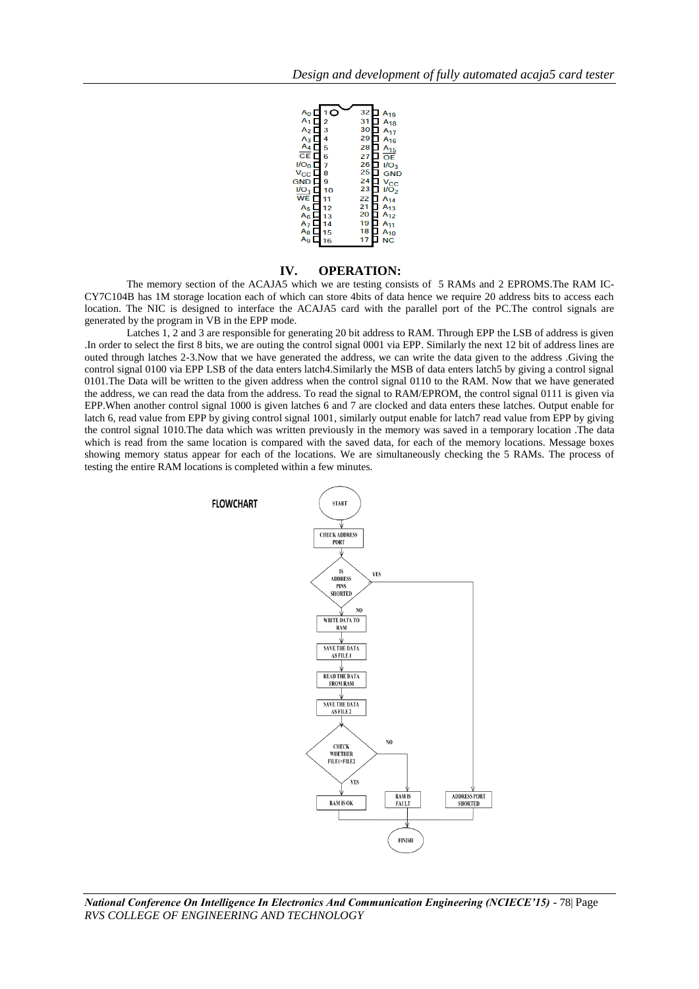

## **IV. OPERATION:**

The memory section of the ACAJA5 which we are testing consists of 5 RAMs and 2 EPROMS.The RAM IC-CY7C104B has 1M storage location each of which can store 4bits of data hence we require 20 address bits to access each location. The NIC is designed to interface the ACAJA5 card with the parallel port of the PC.The control signals are generated by the program in VB in the EPP mode.

Latches 1, 2 and 3 are responsible for generating 20 bit address to RAM. Through EPP the LSB of address is given .In order to select the first 8 bits, we are outing the control signal 0001 via EPP. Similarly the next 12 bit of address lines are outed through latches 2-3.Now that we have generated the address, we can write the data given to the address .Giving the control signal 0100 via EPP LSB of the data enters latch4.Similarly the MSB of data enters latch5 by giving a control signal 0101.The Data will be written to the given address when the control signal 0110 to the RAM. Now that we have generated the address, we can read the data from the address. To read the signal to RAM/EPROM, the control signal 0111 is given via EPP.When another control signal 1000 is given latches 6 and 7 are clocked and data enters these latches. Output enable for latch 6, read value from EPP by giving control signal 1001, similarly output enable for latch7 read value from EPP by giving the control signal 1010.The data which was written previously in the memory was saved in a temporary location .The data which is read from the same location is compared with the saved data, for each of the memory locations. Message boxes showing memory status appear for each of the locations. We are simultaneously checking the 5 RAMs. The process of testing the entire RAM locations is completed within a few minutes.